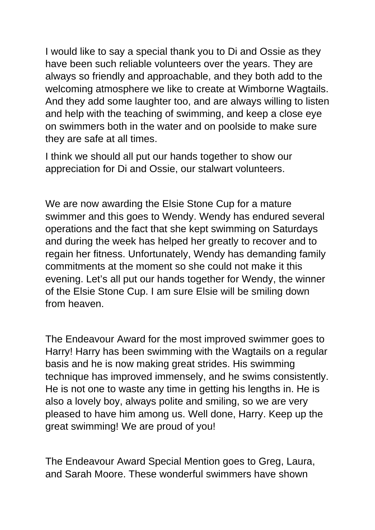I would like to say a special thank you to Di and Ossie as they have been such reliable volunteers over the years. They are always so friendly and approachable, and they both add to the welcoming atmosphere we like to create at Wimborne Wagtails. And they add some laughter too, and are always willing to listen and help with the teaching of swimming, and keep a close eye on swimmers both in the water and on poolside to make sure they are safe at all times.

I think we should all put our hands together to show our appreciation for Di and Ossie, our stalwart volunteers.

We are now awarding the Elsie Stone Cup for a mature swimmer and this goes to Wendy. Wendy has endured several operations and the fact that she kept swimming on Saturdays and during the week has helped her greatly to recover and to regain her fitness. Unfortunately, Wendy has demanding family commitments at the moment so she could not make it this evening. Let's all put our hands together for Wendy, the winner of the Elsie Stone Cup. I am sure Elsie will be smiling down from heaven.

The Endeavour Award for the most improved swimmer goes to Harry! Harry has been swimming with the Wagtails on a regular basis and he is now making great strides. His swimming technique has improved immensely, and he swims consistently. He is not one to waste any time in getting his lengths in. He is also a lovely boy, always polite and smiling, so we are very pleased to have him among us. Well done, Harry. Keep up the great swimming! We are proud of you!

The Endeavour Award Special Mention goes to Greg, Laura, and Sarah Moore. These wonderful swimmers have shown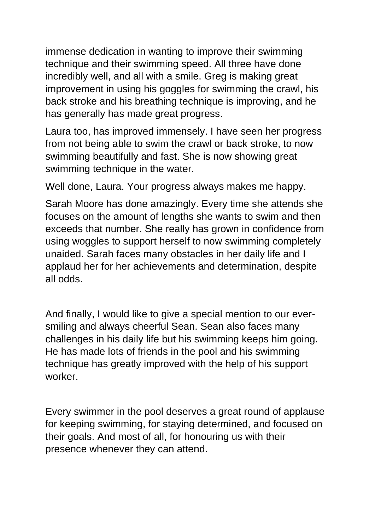immense dedication in wanting to improve their swimming technique and their swimming speed. All three have done incredibly well, and all with a smile. Greg is making great improvement in using his goggles for swimming the crawl, his back stroke and his breathing technique is improving, and he has generally has made great progress.

Laura too, has improved immensely. I have seen her progress from not being able to swim the crawl or back stroke, to now swimming beautifully and fast. She is now showing great swimming technique in the water.

Well done, Laura. Your progress always makes me happy.

Sarah Moore has done amazingly. Every time she attends she focuses on the amount of lengths she wants to swim and then exceeds that number. She really has grown in confidence from using woggles to support herself to now swimming completely unaided. Sarah faces many obstacles in her daily life and I applaud her for her achievements and determination, despite all odds.

And finally, I would like to give a special mention to our eversmiling and always cheerful Sean. Sean also faces many challenges in his daily life but his swimming keeps him going. He has made lots of friends in the pool and his swimming technique has greatly improved with the help of his support worker.

Every swimmer in the pool deserves a great round of applause for keeping swimming, for staying determined, and focused on their goals. And most of all, for honouring us with their presence whenever they can attend.